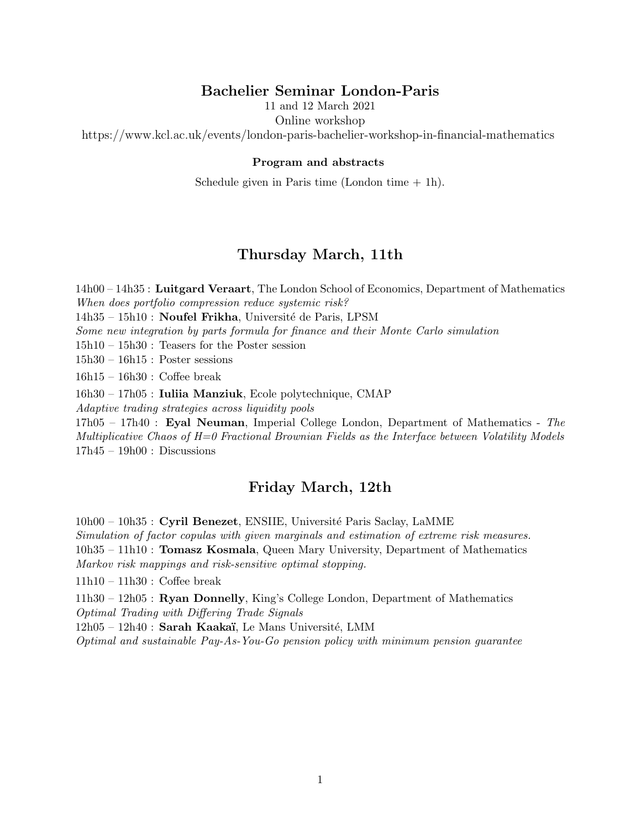# Bachelier Seminar London-Paris

11 and 12 March 2021

Online workshop

https://www.kcl.ac.uk/events/london-paris-bachelier-workshop-in-financial-mathematics

#### Program and abstracts

Schedule given in Paris time  $(London time + 1h)$ .

# Thursday March, 11th

14h00 – 14h35 : Luitgard Veraart, The London School of Economics, Department of Mathematics When does portfolio compression reduce systemic risk?

 $14h35 - 15h10$ : **Noufel Frikha**, Université de Paris, LPSM

Some new integration by parts formula for finance and their Monte Carlo simulation

15h10 – 15h30 : Teasers for the Poster session

15h30 – 16h15 : Poster sessions

16h15 – 16h30 : Coffee break

16h30 – 17h05 : Iuliia Manziuk, Ecole polytechnique, CMAP

Adaptive trading strategies across liquidity pools

17h05 – 17h40 : Eyal Neuman, Imperial College London, Department of Mathematics - The Multiplicative Chaos of  $H=0$  Fractional Brownian Fields as the Interface between Volatility Models  $17h45 - 19h00$ : Discussions

## Friday March, 12th

10h00 – 10h35 : Cyril Benezet, ENSIIE, Université Paris Saclay, LaMME

Simulation of factor copulas with given marginals and estimation of extreme risk measures.

10h35 – 11h10 : Tomasz Kosmala, Queen Mary University, Department of Mathematics Markov risk mappings and risk-sensitive optimal stopping.

11h10 – 11h30 : Coffee break

11h30 – 12h05 : Ryan Donnelly, King's College London, Department of Mathematics Optimal Trading with Differing Trade Signals

 $12h05 - 12h40$ : Sarah Kaakaï, Le Mans Université, LMM

Optimal and sustainable Pay-As-You-Go pension policy with minimum pension guarantee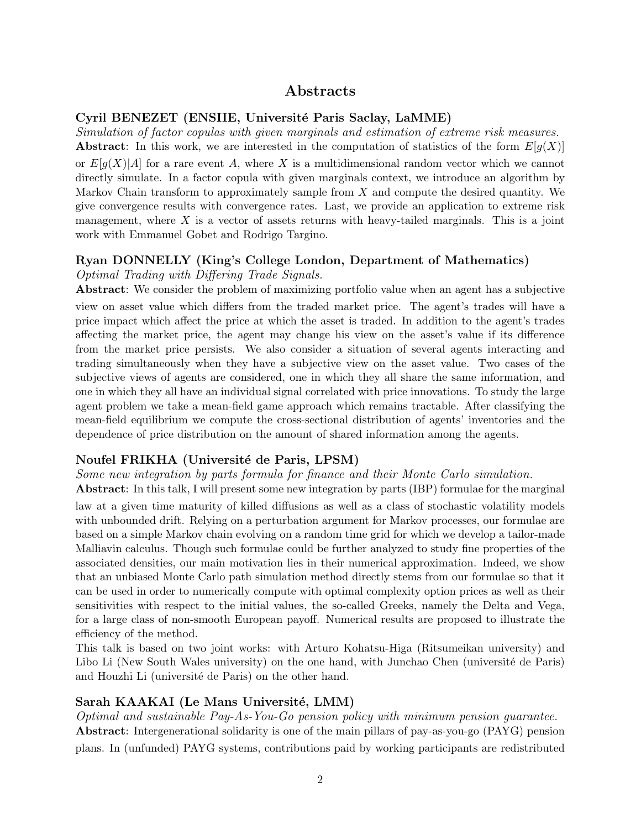# Abstracts

### Cyril BENEZET (ENSIIE, Université Paris Saclay, LaMME)

Simulation of factor copulas with given marginals and estimation of extreme risk measures. **Abstract:** In this work, we are interested in the computation of statistics of the form  $E[g(X)]$ or  $E[g(X)|A]$  for a rare event A, where X is a multidimensional random vector which we cannot directly simulate. In a factor copula with given marginals context, we introduce an algorithm by Markov Chain transform to approximately sample from  $X$  and compute the desired quantity. We give convergence results with convergence rates. Last, we provide an application to extreme risk management, where  $X$  is a vector of assets returns with heavy-tailed marginals. This is a joint work with Emmanuel Gobet and Rodrigo Targino.

## Ryan DONNELLY (King's College London, Department of Mathematics)

## Optimal Trading with Differing Trade Signals.

Abstract: We consider the problem of maximizing portfolio value when an agent has a subjective view on asset value which differs from the traded market price. The agent's trades will have a price impact which affect the price at which the asset is traded. In addition to the agent's trades affecting the market price, the agent may change his view on the asset's value if its difference from the market price persists. We also consider a situation of several agents interacting and trading simultaneously when they have a subjective view on the asset value. Two cases of the subjective views of agents are considered, one in which they all share the same information, and one in which they all have an individual signal correlated with price innovations. To study the large agent problem we take a mean-field game approach which remains tractable. After classifying the mean-field equilibrium we compute the cross-sectional distribution of agents' inventories and the dependence of price distribution on the amount of shared information among the agents.

#### Noufel FRIKHA (Université de Paris, LPSM)

Some new integration by parts formula for finance and their Monte Carlo simulation.

Abstract: In this talk, I will present some new integration by parts (IBP) formulae for the marginal law at a given time maturity of killed diffusions as well as a class of stochastic volatility models with unbounded drift. Relying on a perturbation argument for Markov processes, our formulae are based on a simple Markov chain evolving on a random time grid for which we develop a tailor-made Malliavin calculus. Though such formulae could be further analyzed to study fine properties of the associated densities, our main motivation lies in their numerical approximation. Indeed, we show that an unbiased Monte Carlo path simulation method directly stems from our formulae so that it can be used in order to numerically compute with optimal complexity option prices as well as their sensitivities with respect to the initial values, the so-called Greeks, namely the Delta and Vega, for a large class of non-smooth European payoff. Numerical results are proposed to illustrate the efficiency of the method.

This talk is based on two joint works: with Arturo Kohatsu-Higa (Ritsumeikan university) and Libo Li (New South Wales university) on the one hand, with Junchao Chen (université de Paris) and Houzhi Li (université de Paris) on the other hand.

## Sarah KAAKAI (Le Mans Université, LMM)

Optimal and sustainable Pay-As-You-Go pension policy with minimum pension guarantee. Abstract: Intergenerational solidarity is one of the main pillars of pay-as-you-go (PAYG) pension plans. In (unfunded) PAYG systems, contributions paid by working participants are redistributed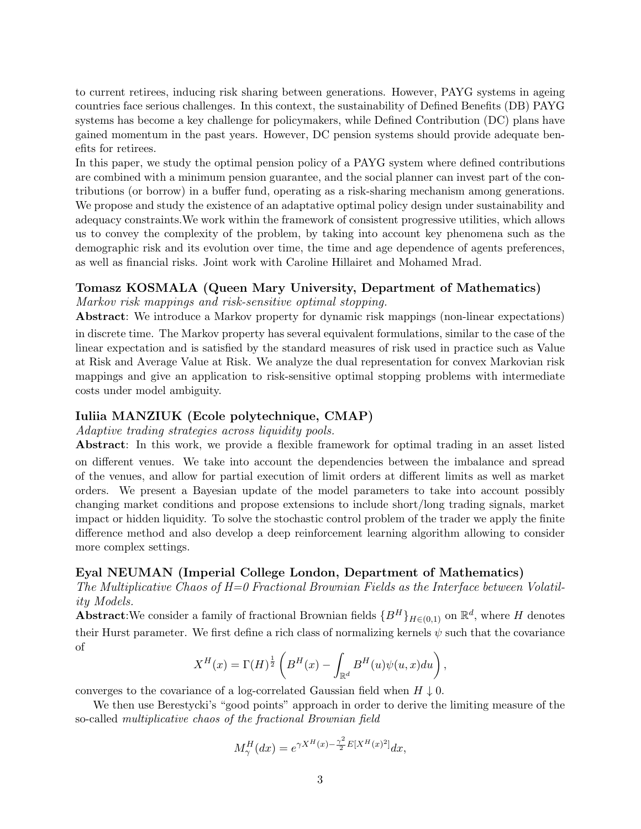to current retirees, inducing risk sharing between generations. However, PAYG systems in ageing countries face serious challenges. In this context, the sustainability of Defined Benefits (DB) PAYG systems has become a key challenge for policymakers, while Defined Contribution (DC) plans have gained momentum in the past years. However, DC pension systems should provide adequate benefits for retirees.

In this paper, we study the optimal pension policy of a PAYG system where defined contributions are combined with a minimum pension guarantee, and the social planner can invest part of the contributions (or borrow) in a buffer fund, operating as a risk-sharing mechanism among generations. We propose and study the existence of an adaptative optimal policy design under sustainability and adequacy constraints.We work within the framework of consistent progressive utilities, which allows us to convey the complexity of the problem, by taking into account key phenomena such as the demographic risk and its evolution over time, the time and age dependence of agents preferences, as well as financial risks. Joint work with Caroline Hillairet and Mohamed Mrad.

## Tomasz KOSMALA (Queen Mary University, Department of Mathematics)

Markov risk mappings and risk-sensitive optimal stopping.

Abstract: We introduce a Markov property for dynamic risk mappings (non-linear expectations) in discrete time. The Markov property has several equivalent formulations, similar to the case of the linear expectation and is satisfied by the standard measures of risk used in practice such as Value at Risk and Average Value at Risk. We analyze the dual representation for convex Markovian risk mappings and give an application to risk-sensitive optimal stopping problems with intermediate costs under model ambiguity.

### Iuliia MANZIUK (Ecole polytechnique, CMAP)

Adaptive trading strategies across liquidity pools.

Abstract: In this work, we provide a flexible framework for optimal trading in an asset listed on different venues. We take into account the dependencies between the imbalance and spread of the venues, and allow for partial execution of limit orders at different limits as well as market orders. We present a Bayesian update of the model parameters to take into account possibly changing market conditions and propose extensions to include short/long trading signals, market impact or hidden liquidity. To solve the stochastic control problem of the trader we apply the finite difference method and also develop a deep reinforcement learning algorithm allowing to consider more complex settings.

## Eyal NEUMAN (Imperial College London, Department of Mathematics)

The Multiplicative Chaos of  $H=0$  Fractional Brownian Fields as the Interface between Volatility Models.

Abstract:We consider a family of fractional Brownian fields  ${B^H}_{H\in(0,1)}$  on  $\mathbb{R}^d$ , where H denotes their Hurst parameter. We first define a rich class of normalizing kernels  $\psi$  such that the covariance of

$$
X^{H}(x) = \Gamma(H)^{\frac{1}{2}} \left( B^{H}(x) - \int_{\mathbb{R}^{d}} B^{H}(u)\psi(u,x)du \right),
$$

converges to the covariance of a log-correlated Gaussian field when  $H \downarrow 0$ .

We then use Berestycki's "good points" approach in order to derive the limiting measure of the so-called multiplicative chaos of the fractional Brownian field

$$
M_{\gamma}^{H}(dx) = e^{\gamma X^{H}(x) - \frac{\gamma^{2}}{2}E[X^{H}(x)^{2}]}dx,
$$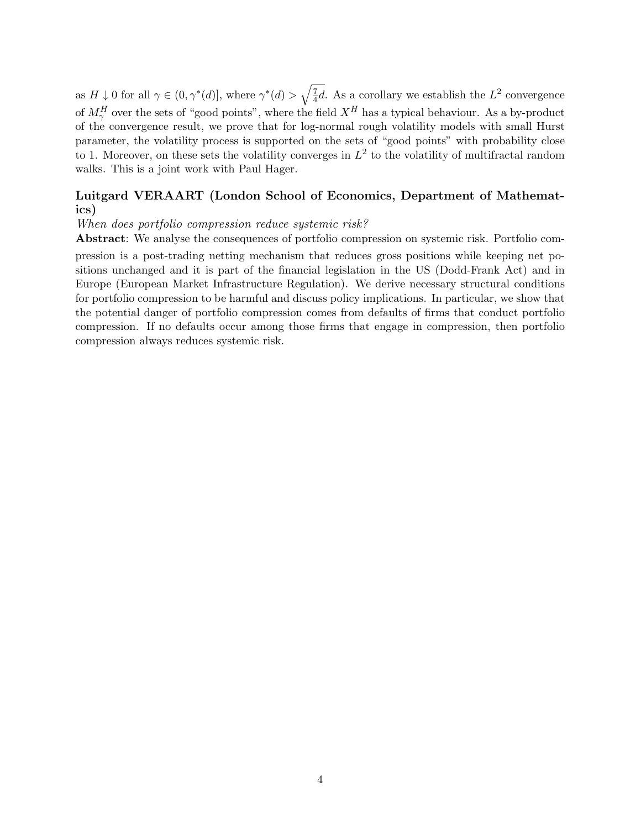as  $H \downarrow 0$  for all  $\gamma \in (0, \gamma^*(d)],$  where  $\gamma^*(d) > \sqrt{\frac{7}{4}}$  $\frac{7}{4}d$ . As a corollary we establish the  $L^2$  convergence of  $M_{\gamma}^H$  over the sets of "good points", where the field  $X^H$  has a typical behaviour. As a by-product of the convergence result, we prove that for log-normal rough volatility models with small Hurst parameter, the volatility process is supported on the sets of "good points" with probability close to 1. Moreover, on these sets the volatility converges in  $L^2$  to the volatility of multifractal random walks. This is a joint work with Paul Hager.

## Luitgard VERAART (London School of Economics, Department of Mathematics)

When does portfolio compression reduce systemic risk?

Abstract: We analyse the consequences of portfolio compression on systemic risk. Portfolio com-

pression is a post-trading netting mechanism that reduces gross positions while keeping net positions unchanged and it is part of the financial legislation in the US (Dodd-Frank Act) and in Europe (European Market Infrastructure Regulation). We derive necessary structural conditions for portfolio compression to be harmful and discuss policy implications. In particular, we show that the potential danger of portfolio compression comes from defaults of firms that conduct portfolio compression. If no defaults occur among those firms that engage in compression, then portfolio compression always reduces systemic risk.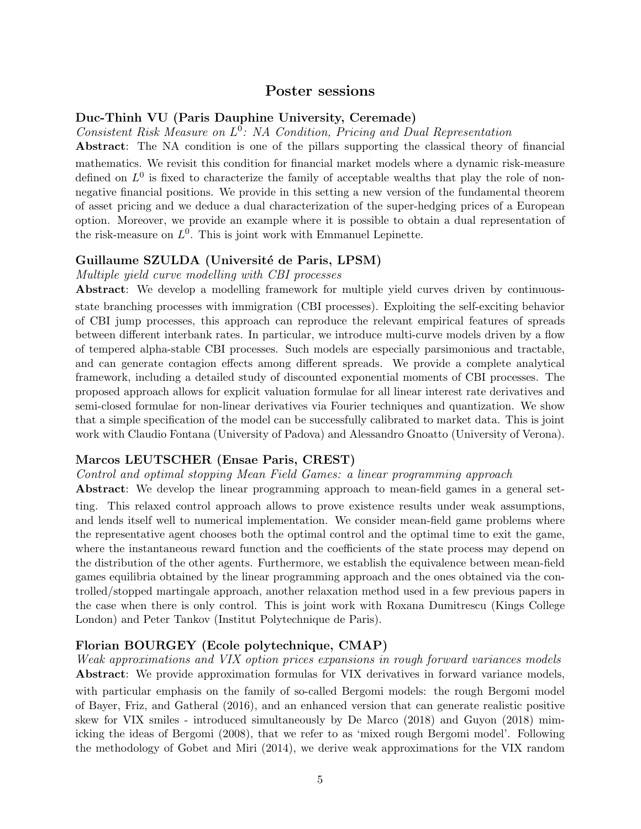## Poster sessions

#### Duc-Thinh VU (Paris Dauphine University, Ceremade)

Consistent Risk Measure on  $L^0$ : NA Condition, Pricing and Dual Representation

Abstract: The NA condition is one of the pillars supporting the classical theory of financial mathematics. We revisit this condition for financial market models where a dynamic risk-measure defined on  $L^0$  is fixed to characterize the family of acceptable wealths that play the role of nonnegative financial positions. We provide in this setting a new version of the fundamental theorem of asset pricing and we deduce a dual characterization of the super-hedging prices of a European option. Moreover, we provide an example where it is possible to obtain a dual representation of the risk-measure on  $L^0$ . This is joint work with Emmanuel Lepinette.

#### Guillaume SZULDA (Université de Paris, LPSM)

Multiple yield curve modelling with CBI processes

Abstract: We develop a modelling framework for multiple yield curves driven by continuousstate branching processes with immigration (CBI processes). Exploiting the self-exciting behavior of CBI jump processes, this approach can reproduce the relevant empirical features of spreads between different interbank rates. In particular, we introduce multi-curve models driven by a flow of tempered alpha-stable CBI processes. Such models are especially parsimonious and tractable, and can generate contagion effects among different spreads. We provide a complete analytical framework, including a detailed study of discounted exponential moments of CBI processes. The proposed approach allows for explicit valuation formulae for all linear interest rate derivatives and semi-closed formulae for non-linear derivatives via Fourier techniques and quantization. We show that a simple specification of the model can be successfully calibrated to market data. This is joint work with Claudio Fontana (University of Padova) and Alessandro Gnoatto (University of Verona).

#### Marcos LEUTSCHER (Ensae Paris, CREST)

Control and optimal stopping Mean Field Games: a linear programming approach

Abstract: We develop the linear programming approach to mean-field games in a general setting. This relaxed control approach allows to prove existence results under weak assumptions, and lends itself well to numerical implementation. We consider mean-field game problems where the representative agent chooses both the optimal control and the optimal time to exit the game, where the instantaneous reward function and the coefficients of the state process may depend on the distribution of the other agents. Furthermore, we establish the equivalence between mean-field games equilibria obtained by the linear programming approach and the ones obtained via the controlled/stopped martingale approach, another relaxation method used in a few previous papers in the case when there is only control. This is joint work with Roxana Dumitrescu (Kings College London) and Peter Tankov (Institut Polytechnique de Paris).

## Florian BOURGEY (Ecole polytechnique, CMAP)

Weak approximations and VIX option prices expansions in rough forward variances models Abstract: We provide approximation formulas for VIX derivatives in forward variance models, with particular emphasis on the family of so-called Bergomi models: the rough Bergomi model of Bayer, Friz, and Gatheral (2016), and an enhanced version that can generate realistic positive skew for VIX smiles - introduced simultaneously by De Marco (2018) and Guyon (2018) mimicking the ideas of Bergomi (2008), that we refer to as 'mixed rough Bergomi model'. Following the methodology of Gobet and Miri (2014), we derive weak approximations for the VIX random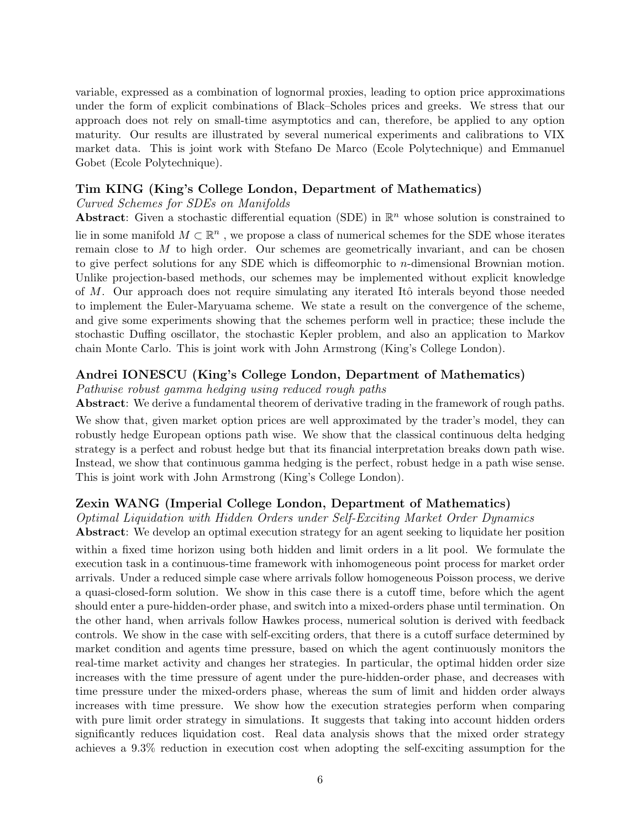variable, expressed as a combination of lognormal proxies, leading to option price approximations under the form of explicit combinations of Black–Scholes prices and greeks. We stress that our approach does not rely on small-time asymptotics and can, therefore, be applied to any option maturity. Our results are illustrated by several numerical experiments and calibrations to VIX market data. This is joint work with Stefano De Marco (Ecole Polytechnique) and Emmanuel Gobet (Ecole Polytechnique).

## Tim KING (King's College London, Department of Mathematics)

### Curved Schemes for SDEs on Manifolds

**Abstract:** Given a stochastic differential equation (SDE) in  $\mathbb{R}^n$  whose solution is constrained to lie in some manifold  $M \subset \mathbb{R}^n$ , we propose a class of numerical schemes for the SDE whose iterates remain close to  $M$  to high order. Our schemes are geometrically invariant, and can be chosen to give perfect solutions for any SDE which is diffeomorphic to n-dimensional Brownian motion. Unlike projection-based methods, our schemes may be implemented without explicit knowledge of M. Our approach does not require simulating any iterated Itô interals beyond those needed to implement the Euler-Maryuama scheme. We state a result on the convergence of the scheme, and give some experiments showing that the schemes perform well in practice; these include the stochastic Duffing oscillator, the stochastic Kepler problem, and also an application to Markov chain Monte Carlo. This is joint work with John Armstrong (King's College London).

## Andrei IONESCU (King's College London, Department of Mathematics)

Pathwise robust gamma hedging using reduced rough paths

Abstract: We derive a fundamental theorem of derivative trading in the framework of rough paths.

We show that, given market option prices are well approximated by the trader's model, they can robustly hedge European options path wise. We show that the classical continuous delta hedging strategy is a perfect and robust hedge but that its financial interpretation breaks down path wise. Instead, we show that continuous gamma hedging is the perfect, robust hedge in a path wise sense. This is joint work with John Armstrong (King's College London).

## Zexin WANG (Imperial College London, Department of Mathematics)

Optimal Liquidation with Hidden Orders under Self-Exciting Market Order Dynamics

Abstract: We develop an optimal execution strategy for an agent seeking to liquidate her position within a fixed time horizon using both hidden and limit orders in a lit pool. We formulate the execution task in a continuous-time framework with inhomogeneous point process for market order arrivals. Under a reduced simple case where arrivals follow homogeneous Poisson process, we derive a quasi-closed-form solution. We show in this case there is a cutoff time, before which the agent should enter a pure-hidden-order phase, and switch into a mixed-orders phase until termination. On the other hand, when arrivals follow Hawkes process, numerical solution is derived with feedback controls. We show in the case with self-exciting orders, that there is a cutoff surface determined by market condition and agents time pressure, based on which the agent continuously monitors the real-time market activity and changes her strategies. In particular, the optimal hidden order size increases with the time pressure of agent under the pure-hidden-order phase, and decreases with time pressure under the mixed-orders phase, whereas the sum of limit and hidden order always increases with time pressure. We show how the execution strategies perform when comparing with pure limit order strategy in simulations. It suggests that taking into account hidden orders significantly reduces liquidation cost. Real data analysis shows that the mixed order strategy achieves a 9.3% reduction in execution cost when adopting the self-exciting assumption for the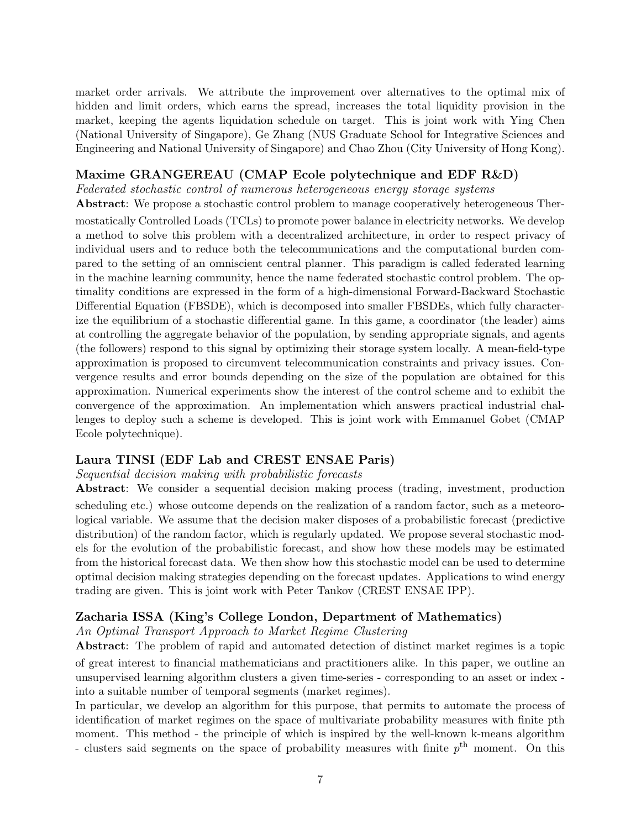market order arrivals. We attribute the improvement over alternatives to the optimal mix of hidden and limit orders, which earns the spread, increases the total liquidity provision in the market, keeping the agents liquidation schedule on target. This is joint work with Ying Chen (National University of Singapore), Ge Zhang (NUS Graduate School for Integrative Sciences and Engineering and National University of Singapore) and Chao Zhou (City University of Hong Kong).

## Maxime GRANGEREAU (CMAP Ecole polytechnique and EDF R&D)

Federated stochastic control of numerous heterogeneous energy storage systems

Abstract: We propose a stochastic control problem to manage cooperatively heterogeneous Ther-

mostatically Controlled Loads (TCLs) to promote power balance in electricity networks. We develop a method to solve this problem with a decentralized architecture, in order to respect privacy of individual users and to reduce both the telecommunications and the computational burden compared to the setting of an omniscient central planner. This paradigm is called federated learning in the machine learning community, hence the name federated stochastic control problem. The optimality conditions are expressed in the form of a high-dimensional Forward-Backward Stochastic Differential Equation (FBSDE), which is decomposed into smaller FBSDEs, which fully characterize the equilibrium of a stochastic differential game. In this game, a coordinator (the leader) aims at controlling the aggregate behavior of the population, by sending appropriate signals, and agents (the followers) respond to this signal by optimizing their storage system locally. A mean-field-type approximation is proposed to circumvent telecommunication constraints and privacy issues. Convergence results and error bounds depending on the size of the population are obtained for this approximation. Numerical experiments show the interest of the control scheme and to exhibit the convergence of the approximation. An implementation which answers practical industrial challenges to deploy such a scheme is developed. This is joint work with Emmanuel Gobet (CMAP Ecole polytechnique).

## Laura TINSI (EDF Lab and CREST ENSAE Paris)

## Sequential decision making with probabilistic forecasts

Abstract: We consider a sequential decision making process (trading, investment, production scheduling etc.) whose outcome depends on the realization of a random factor, such as a meteorological variable. We assume that the decision maker disposes of a probabilistic forecast (predictive distribution) of the random factor, which is regularly updated. We propose several stochastic models for the evolution of the probabilistic forecast, and show how these models may be estimated from the historical forecast data. We then show how this stochastic model can be used to determine optimal decision making strategies depending on the forecast updates. Applications to wind energy trading are given. This is joint work with Peter Tankov (CREST ENSAE IPP).

## Zacharia ISSA (King's College London, Department of Mathematics)

An Optimal Transport Approach to Market Regime Clustering

Abstract: The problem of rapid and automated detection of distinct market regimes is a topic of great interest to financial mathematicians and practitioners alike. In this paper, we outline an unsupervised learning algorithm clusters a given time-series - corresponding to an asset or index into a suitable number of temporal segments (market regimes).

In particular, we develop an algorithm for this purpose, that permits to automate the process of identification of market regimes on the space of multivariate probability measures with finite pth moment. This method - the principle of which is inspired by the well-known k-means algorithm - clusters said segments on the space of probability measures with finite  $p<sup>th</sup>$  moment. On this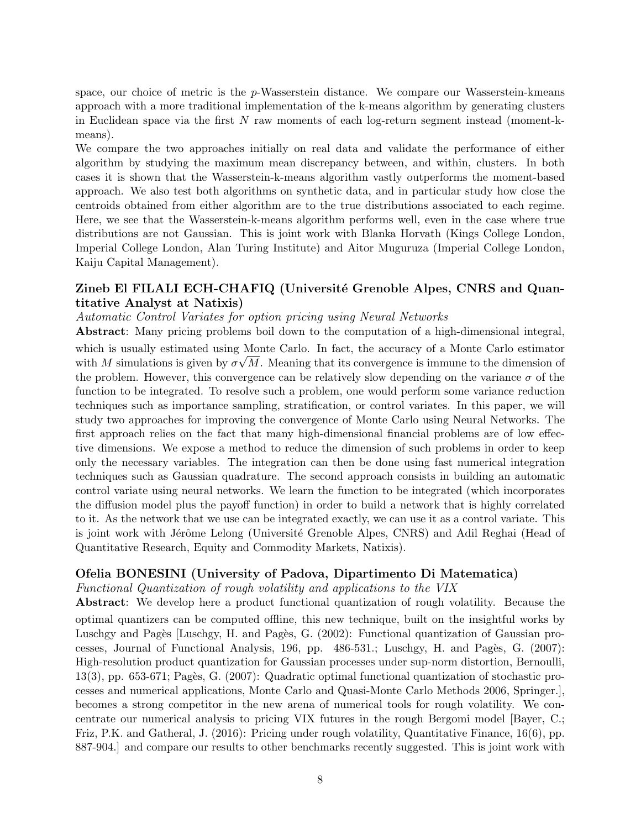space, our choice of metric is the  $p$ -Wasserstein distance. We compare our Wasserstein-kmeans approach with a more traditional implementation of the k-means algorithm by generating clusters in Euclidean space via the first N raw moments of each log-return segment instead (moment-kmeans).

We compare the two approaches initially on real data and validate the performance of either algorithm by studying the maximum mean discrepancy between, and within, clusters. In both cases it is shown that the Wasserstein-k-means algorithm vastly outperforms the moment-based approach. We also test both algorithms on synthetic data, and in particular study how close the centroids obtained from either algorithm are to the true distributions associated to each regime. Here, we see that the Wasserstein-k-means algorithm performs well, even in the case where true distributions are not Gaussian. This is joint work with Blanka Horvath (Kings College London, Imperial College London, Alan Turing Institute) and Aitor Muguruza (Imperial College London, Kaiju Capital Management).

## Zineb El FILALI ECH-CHAFIQ (Université Grenoble Alpes, CNRS and Quantitative Analyst at Natixis)

Automatic Control Variates for option pricing using Neural Networks

Abstract: Many pricing problems boil down to the computation of a high-dimensional integral, which is usually estimated using Monte Carlo. In fact, the accuracy of a Monte Carlo estimator with M simulations is given by  $\sigma\sqrt{M}$ . Meaning that its convergence is immune to the dimension of the problem. However, this convergence can be relatively slow depending on the variance  $\sigma$  of the function to be integrated. To resolve such a problem, one would perform some variance reduction techniques such as importance sampling, stratification, or control variates. In this paper, we will study two approaches for improving the convergence of Monte Carlo using Neural Networks. The first approach relies on the fact that many high-dimensional financial problems are of low effective dimensions. We expose a method to reduce the dimension of such problems in order to keep only the necessary variables. The integration can then be done using fast numerical integration techniques such as Gaussian quadrature. The second approach consists in building an automatic control variate using neural networks. We learn the function to be integrated (which incorporates the diffusion model plus the payoff function) in order to build a network that is highly correlated to it. As the network that we use can be integrated exactly, we can use it as a control variate. This is joint work with Jérôme Lelong (Université Grenoble Alpes, CNRS) and Adil Reghai (Head of Quantitative Research, Equity and Commodity Markets, Natixis).

## Ofelia BONESINI (University of Padova, Dipartimento Di Matematica)

Functional Quantization of rough volatility and applications to the VIX

Abstract: We develop here a product functional quantization of rough volatility. Because the optimal quantizers can be computed offline, this new technique, built on the insightful works by Luschgy and Pagès [Luschgy, H. and Pagès, G. (2002): Functional quantization of Gaussian processes, Journal of Functional Analysis, 196, pp. 486-531.; Luschgy, H. and Pagès, G. (2007): High-resolution product quantization for Gaussian processes under sup-norm distortion, Bernoulli, 13(3), pp. 653-671; Pagès, G. (2007): Quadratic optimal functional quantization of stochastic processes and numerical applications, Monte Carlo and Quasi-Monte Carlo Methods 2006, Springer.], becomes a strong competitor in the new arena of numerical tools for rough volatility. We concentrate our numerical analysis to pricing VIX futures in the rough Bergomi model [Bayer, C.; Friz, P.K. and Gatheral, J. (2016): Pricing under rough volatility, Quantitative Finance, 16(6), pp. 887-904.] and compare our results to other benchmarks recently suggested. This is joint work with